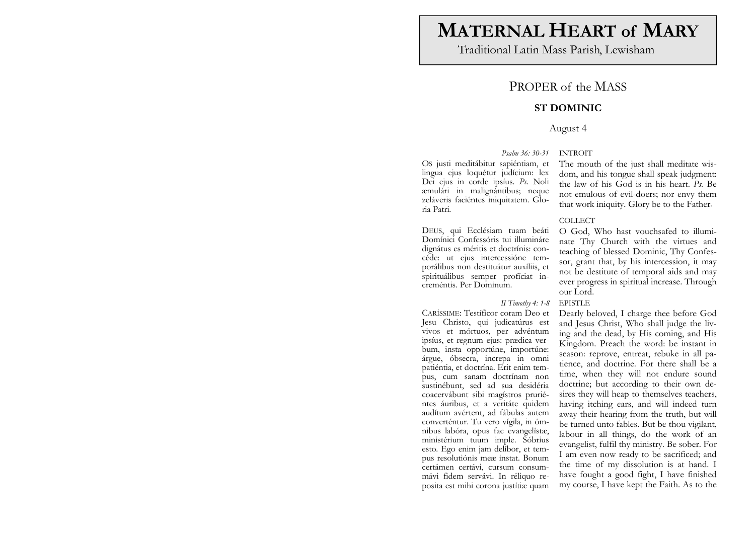# **MATERNAL HEART of MARY**

Traditional Latin Mass Parish, Lewisham

# PROPER of the MASS

## **ST DOMINIC**

### August 4

### *Psalm 36: 30-31* INTROIT

OS justi meditábitur sapiéntiam, et lingua ejus loquétur judícium: lex Dei ejus in corde ipsíus. *Ps.* Noli æmulári in malignántibus; neque zeláveris faciéntes iniquitatem. Gloria Patri.

DEUS, qui Ecclésiam tuam beáti Domínici Confessóris tui illumináre dignátus es méritis et doctrínis: concéde: ut ejus intercessióne temporálibus non destituátur auxíliis, et spirituálibus semper profíciat increméntis. Per Dominum.

### *II Timothy 4: 1-8* EPISTLE

CARÍSSIME: Testíficor coram Deo et Jesu Christo, qui judicatúrus est vivos et mórtuos, per advéntum ipsíus, et regnum ejus: prædica verbum, insta opportúne, importúne: árgue, óbsecra, increpa in omni patiéntia, et doctrína. Erit enim tempus, cum sanam doctrínam non sustinébunt, sed ad sua desidéria coacervábunt sibi magístros pruriéntes áuribus, et a veritáte quidem audítum avértent, ad fábulas autem converténtur. Tu vero vígila, in ómnibus labóra, opus fac evangelístæ, ministérium tuum imple. Sóbrius esto. Ego enim jam delíbor, et tempus resolutiónis meæ instat. Bonum certámen certávi, cursum consummávi fidem servávi. In réliquo reposita est mihi corona justítiæ quam

The mouth of the just shall meditate wisdom, and his tongue shall speak judgment: the law of his God is in his heart. *Ps.* Be not emulous of evil-doers; nor envy them that work iniquity. Glory be to the Father.

### COLLECT

O God, Who hast vouchsafed to illuminate Thy Church with the virtues and teaching of blessed Dominic, Thy Confessor, grant that, by his intercession, it may not be destitute of temporal aids and may ever progress in spiritual increase. Through our Lord.

Dearly beloved, I charge thee before God and Jesus Christ, Who shall judge the living and the dead, by His coming, and His Kingdom. Preach the word: be instant in season: reprove, entreat, rebuke in all patience, and doctrine. For there shall be a time, when they will not endure sound doctrine; but according to their own desires they will heap to themselves teachers, having itching ears, and will indeed turn away their hearing from the truth, but will be turned unto fables. But be thou vigilant, labour in all things, do the work of an evangelist, fulfil thy ministry. Be sober. For I am even now ready to be sacrificed; and the time of my dissolution is at hand. I have fought a good fight, I have finished my course, I have kept the Faith. As to the